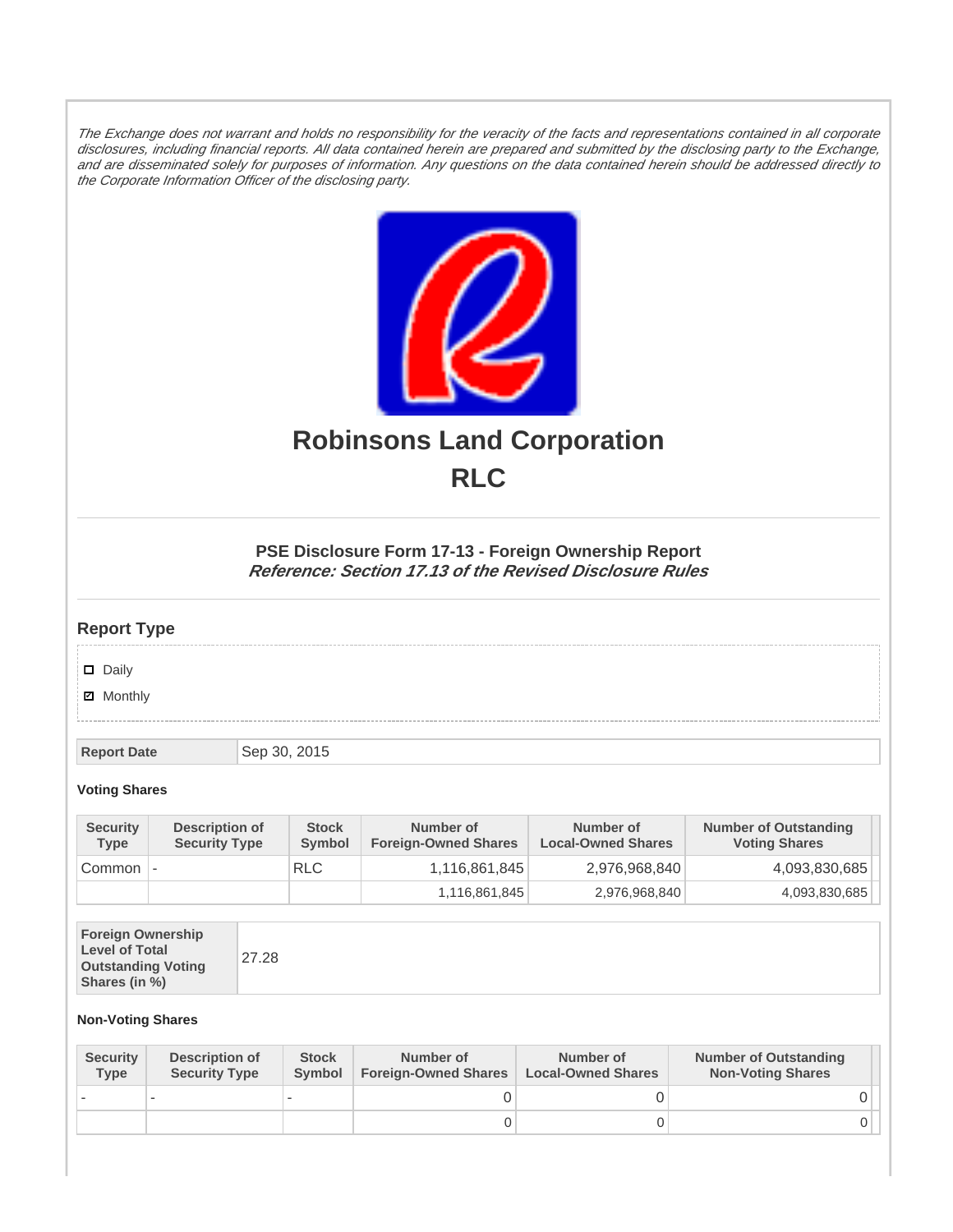The Exchange does not warrant and holds no responsibility for the veracity of the facts and representations contained in all corporate disclosures, including financial reports. All data contained herein are prepared and submitted by the disclosing party to the Exchange, and are disseminated solely for purposes of information. Any questions on the data contained herein should be addressed directly to the Corporate Information Officer of the disclosing party.



# **Robinsons Land Corporation RLC**

## **PSE Disclosure Form 17-13 - Foreign Ownership Report Reference: Section 17.13 of the Revised Disclosure Rules**

# **Report Type**

Daily

**Ø** Monthly

**Report Date** Sep 30, 2015

### **Voting Shares**

| <b>Security</b><br><b>Type</b> | Description of<br><b>Security Type</b> | <b>Stock</b><br>Symbol | Number of<br><b>Foreign-Owned Shares</b> | Number of<br><b>Local-Owned Shares</b> | <b>Number of Outstanding</b><br><b>Voting Shares</b> |
|--------------------------------|----------------------------------------|------------------------|------------------------------------------|----------------------------------------|------------------------------------------------------|
| Common                         | $\overline{\phantom{a}}$               | <b>RLC</b>             | 1,116,861,845                            | 2,976,968,840                          | 4,093,830,685                                        |
|                                |                                        |                        | 1,116,861,845                            | 2,976,968,840                          | 4,093,830,685                                        |

| <b>Foreign Ownership</b><br><b>Level of Total</b><br><b>Outstanding Voting</b><br>Shares (in %) |
|-------------------------------------------------------------------------------------------------|
|-------------------------------------------------------------------------------------------------|

#### **Non-Voting Shares**

| <b>Security</b><br><b>Type</b> | Description of<br><b>Security Type</b> | <b>Stock</b><br><b>Symbol</b> | Number of<br><b>Foreign-Owned Shares</b> | Number of<br><b>Local-Owned Shares</b> | <b>Number of Outstanding</b><br><b>Non-Voting Shares</b> |
|--------------------------------|----------------------------------------|-------------------------------|------------------------------------------|----------------------------------------|----------------------------------------------------------|
|                                |                                        |                               |                                          |                                        |                                                          |
|                                |                                        |                               | O                                        |                                        |                                                          |